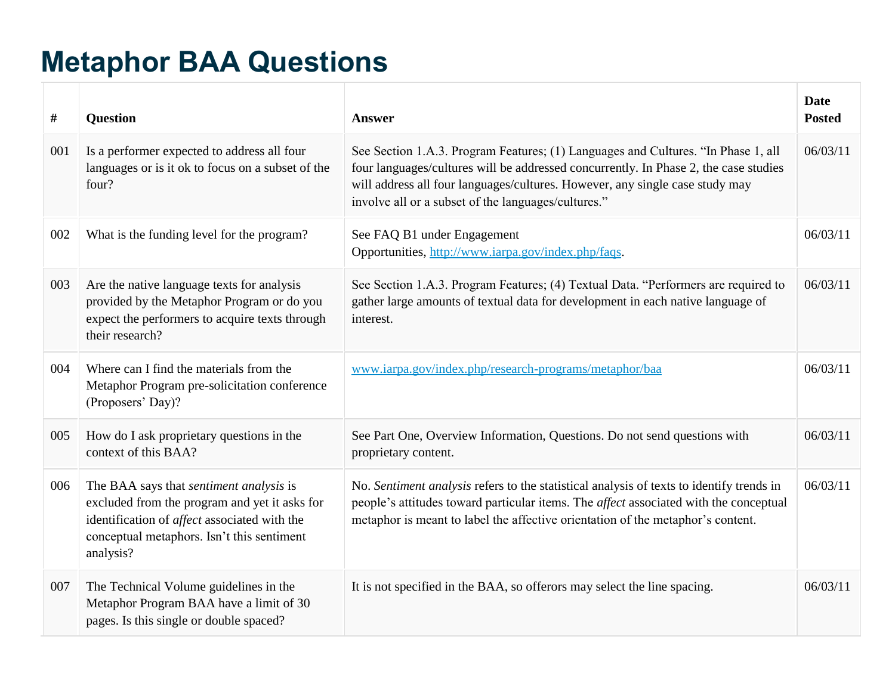## **Metaphor BAA Questions**

| #   | <b>Question</b>                                                                                                                                                                                     | <b>Answer</b>                                                                                                                                                                                                                                                                                                    | <b>Date</b><br><b>Posted</b> |
|-----|-----------------------------------------------------------------------------------------------------------------------------------------------------------------------------------------------------|------------------------------------------------------------------------------------------------------------------------------------------------------------------------------------------------------------------------------------------------------------------------------------------------------------------|------------------------------|
| 001 | Is a performer expected to address all four<br>languages or is it ok to focus on a subset of the<br>four?                                                                                           | See Section 1.A.3. Program Features; (1) Languages and Cultures. "In Phase 1, all<br>four languages/cultures will be addressed concurrently. In Phase 2, the case studies<br>will address all four languages/cultures. However, any single case study may<br>involve all or a subset of the languages/cultures." | 06/03/11                     |
| 002 | What is the funding level for the program?                                                                                                                                                          | See FAQ B1 under Engagement<br>Opportunities, http://www.iarpa.gov/index.php/faqs.                                                                                                                                                                                                                               | 06/03/11                     |
| 003 | Are the native language texts for analysis<br>provided by the Metaphor Program or do you<br>expect the performers to acquire texts through<br>their research?                                       | See Section 1.A.3. Program Features; (4) Textual Data. "Performers are required to<br>gather large amounts of textual data for development in each native language of<br>interest.                                                                                                                               | 06/03/11                     |
| 004 | Where can I find the materials from the<br>Metaphor Program pre-solicitation conference<br>(Proposers' Day)?                                                                                        | www.iarpa.gov/index.php/research-programs/metaphor/baa                                                                                                                                                                                                                                                           | 06/03/11                     |
| 005 | How do I ask proprietary questions in the<br>context of this BAA?                                                                                                                                   | See Part One, Overview Information, Questions. Do not send questions with<br>proprietary content.                                                                                                                                                                                                                | 06/03/11                     |
| 006 | The BAA says that sentiment analysis is<br>excluded from the program and yet it asks for<br>identification of affect associated with the<br>conceptual metaphors. Isn't this sentiment<br>analysis? | No. Sentiment analysis refers to the statistical analysis of texts to identify trends in<br>people's attitudes toward particular items. The <i>affect</i> associated with the conceptual<br>metaphor is meant to label the affective orientation of the metaphor's content.                                      | 06/03/11                     |
| 007 | The Technical Volume guidelines in the<br>Metaphor Program BAA have a limit of 30<br>pages. Is this single or double spaced?                                                                        | It is not specified in the BAA, so offerors may select the line spacing.                                                                                                                                                                                                                                         | 06/03/11                     |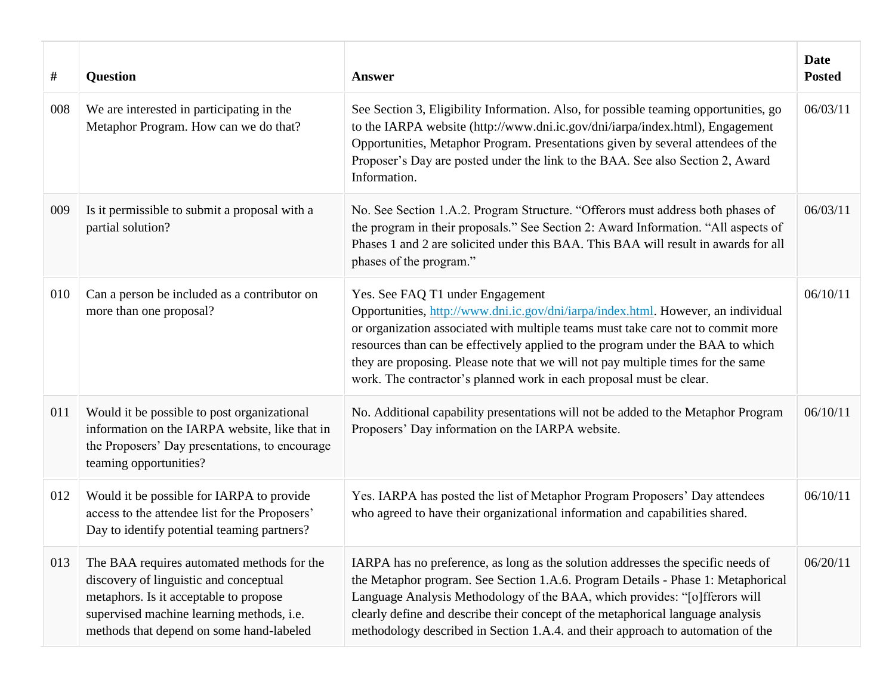| #   | <b>Question</b>                                                                                                                                                                                                         | <b>Answer</b>                                                                                                                                                                                                                                                                                                                                                                                                                                           | <b>Date</b><br><b>Posted</b> |
|-----|-------------------------------------------------------------------------------------------------------------------------------------------------------------------------------------------------------------------------|---------------------------------------------------------------------------------------------------------------------------------------------------------------------------------------------------------------------------------------------------------------------------------------------------------------------------------------------------------------------------------------------------------------------------------------------------------|------------------------------|
| 008 | We are interested in participating in the<br>Metaphor Program. How can we do that?                                                                                                                                      | See Section 3, Eligibility Information. Also, for possible teaming opportunities, go<br>to the IARPA website (http://www.dni.ic.gov/dni/iarpa/index.html), Engagement<br>Opportunities, Metaphor Program. Presentations given by several attendees of the<br>Proposer's Day are posted under the link to the BAA. See also Section 2, Award<br>Information.                                                                                             | 06/03/11                     |
| 009 | Is it permissible to submit a proposal with a<br>partial solution?                                                                                                                                                      | No. See Section 1.A.2. Program Structure. "Offerors must address both phases of<br>the program in their proposals." See Section 2: Award Information. "All aspects of<br>Phases 1 and 2 are solicited under this BAA. This BAA will result in awards for all<br>phases of the program."                                                                                                                                                                 | 06/03/11                     |
| 010 | Can a person be included as a contributor on<br>more than one proposal?                                                                                                                                                 | Yes. See FAQ T1 under Engagement<br>Opportunities, http://www.dni.ic.gov/dni/iarpa/index.html. However, an individual<br>or organization associated with multiple teams must take care not to commit more<br>resources than can be effectively applied to the program under the BAA to which<br>they are proposing. Please note that we will not pay multiple times for the same<br>work. The contractor's planned work in each proposal must be clear. | 06/10/11                     |
| 011 | Would it be possible to post organizational<br>information on the IARPA website, like that in<br>the Proposers' Day presentations, to encourage<br>teaming opportunities?                                               | No. Additional capability presentations will not be added to the Metaphor Program<br>Proposers' Day information on the IARPA website.                                                                                                                                                                                                                                                                                                                   | 06/10/11                     |
| 012 | Would it be possible for IARPA to provide<br>access to the attendee list for the Proposers'<br>Day to identify potential teaming partners?                                                                              | Yes. IARPA has posted the list of Metaphor Program Proposers' Day attendees<br>who agreed to have their organizational information and capabilities shared.                                                                                                                                                                                                                                                                                             | 06/10/11                     |
| 013 | The BAA requires automated methods for the<br>discovery of linguistic and conceptual<br>metaphors. Is it acceptable to propose<br>supervised machine learning methods, i.e.<br>methods that depend on some hand-labeled | IARPA has no preference, as long as the solution addresses the specific needs of<br>the Metaphor program. See Section 1.A.6. Program Details - Phase 1: Metaphorical<br>Language Analysis Methodology of the BAA, which provides: "[o]fferors will<br>clearly define and describe their concept of the metaphorical language analysis<br>methodology described in Section 1.A.4. and their approach to automation of the                                | 06/20/11                     |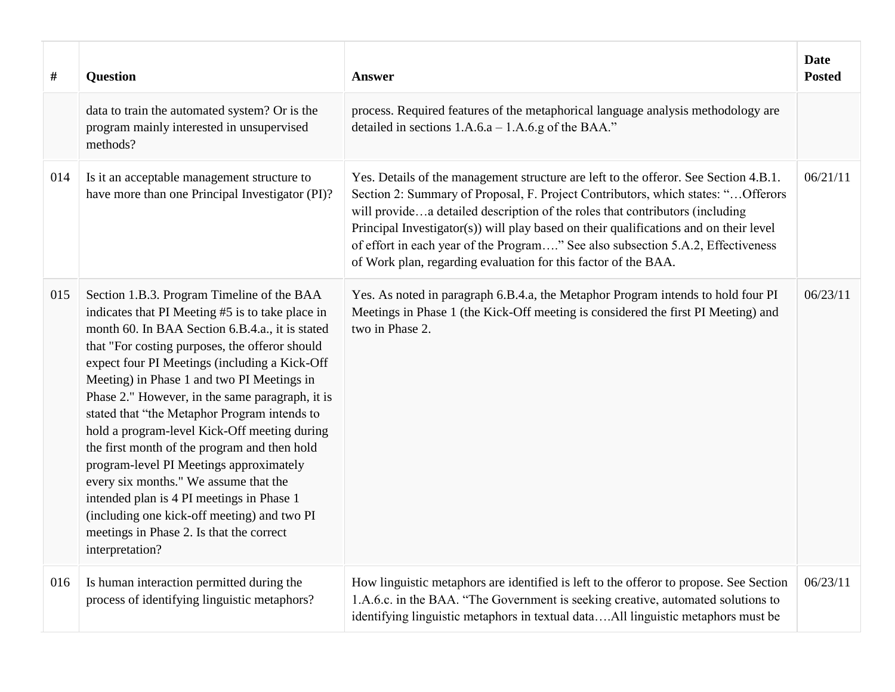| #   | Question                                                                                                                                                                                                                                                                                                                                                                                                                                                                                                                                                                                                                                                                                                                                             | Answer                                                                                                                                                                                                                                                                                                                                                                                                                                                                                                  | <b>Date</b><br><b>Posted</b> |
|-----|------------------------------------------------------------------------------------------------------------------------------------------------------------------------------------------------------------------------------------------------------------------------------------------------------------------------------------------------------------------------------------------------------------------------------------------------------------------------------------------------------------------------------------------------------------------------------------------------------------------------------------------------------------------------------------------------------------------------------------------------------|---------------------------------------------------------------------------------------------------------------------------------------------------------------------------------------------------------------------------------------------------------------------------------------------------------------------------------------------------------------------------------------------------------------------------------------------------------------------------------------------------------|------------------------------|
|     | data to train the automated system? Or is the<br>program mainly interested in unsupervised<br>methods?                                                                                                                                                                                                                                                                                                                                                                                                                                                                                                                                                                                                                                               | process. Required features of the metaphorical language analysis methodology are<br>detailed in sections $1.A.6.a - 1.A.6.g$ of the BAA."                                                                                                                                                                                                                                                                                                                                                               |                              |
| 014 | Is it an acceptable management structure to<br>have more than one Principal Investigator (PI)?                                                                                                                                                                                                                                                                                                                                                                                                                                                                                                                                                                                                                                                       | Yes. Details of the management structure are left to the offeror. See Section 4.B.1.<br>Section 2: Summary of Proposal, F. Project Contributors, which states: " Offerors<br>will providea detailed description of the roles that contributors (including<br>Principal Investigator(s)) will play based on their qualifications and on their level<br>of effort in each year of the Program" See also subsection 5.A.2, Effectiveness<br>of Work plan, regarding evaluation for this factor of the BAA. | 06/21/11                     |
| 015 | Section 1.B.3. Program Timeline of the BAA<br>indicates that PI Meeting #5 is to take place in<br>month 60. In BAA Section 6.B.4.a., it is stated<br>that "For costing purposes, the offeror should<br>expect four PI Meetings (including a Kick-Off<br>Meeting) in Phase 1 and two PI Meetings in<br>Phase 2." However, in the same paragraph, it is<br>stated that "the Metaphor Program intends to<br>hold a program-level Kick-Off meeting during<br>the first month of the program and then hold<br>program-level PI Meetings approximately<br>every six months." We assume that the<br>intended plan is 4 PI meetings in Phase 1<br>(including one kick-off meeting) and two PI<br>meetings in Phase 2. Is that the correct<br>interpretation? | Yes. As noted in paragraph 6.B.4.a, the Metaphor Program intends to hold four PI<br>Meetings in Phase 1 (the Kick-Off meeting is considered the first PI Meeting) and<br>two in Phase 2.                                                                                                                                                                                                                                                                                                                | 06/23/11                     |
| 016 | Is human interaction permitted during the<br>process of identifying linguistic metaphors?                                                                                                                                                                                                                                                                                                                                                                                                                                                                                                                                                                                                                                                            | How linguistic metaphors are identified is left to the offeror to propose. See Section<br>1.A.6.c. in the BAA. "The Government is seeking creative, automated solutions to<br>identifying linguistic metaphors in textual dataAll linguistic metaphors must be                                                                                                                                                                                                                                          | 06/23/11                     |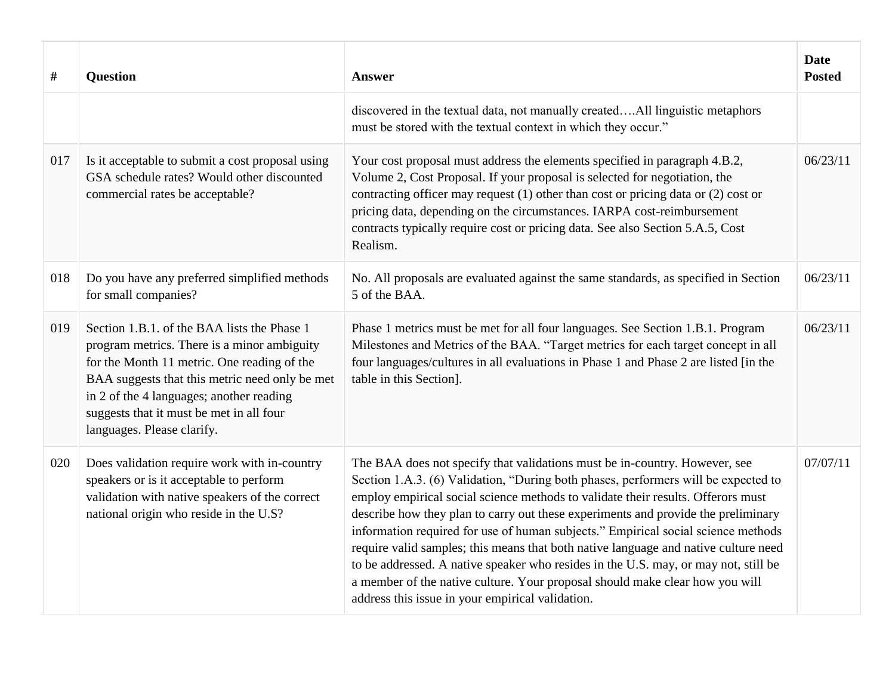| #   | <b>Question</b>                                                                                                                                                                                                                                                                                                   | <b>Answer</b>                                                                                                                                                                                                                                                                                                                                                                                                                                                                                                                                                                                                                                                                                                                                    | <b>Date</b><br><b>Posted</b> |
|-----|-------------------------------------------------------------------------------------------------------------------------------------------------------------------------------------------------------------------------------------------------------------------------------------------------------------------|--------------------------------------------------------------------------------------------------------------------------------------------------------------------------------------------------------------------------------------------------------------------------------------------------------------------------------------------------------------------------------------------------------------------------------------------------------------------------------------------------------------------------------------------------------------------------------------------------------------------------------------------------------------------------------------------------------------------------------------------------|------------------------------|
|     |                                                                                                                                                                                                                                                                                                                   | discovered in the textual data, not manually createdAll linguistic metaphors<br>must be stored with the textual context in which they occur."                                                                                                                                                                                                                                                                                                                                                                                                                                                                                                                                                                                                    |                              |
| 017 | Is it acceptable to submit a cost proposal using<br>GSA schedule rates? Would other discounted<br>commercial rates be acceptable?                                                                                                                                                                                 | Your cost proposal must address the elements specified in paragraph 4.B.2,<br>Volume 2, Cost Proposal. If your proposal is selected for negotiation, the<br>contracting officer may request (1) other than cost or pricing data or (2) cost or<br>pricing data, depending on the circumstances. IARPA cost-reimbursement<br>contracts typically require cost or pricing data. See also Section 5.A.5, Cost<br>Realism.                                                                                                                                                                                                                                                                                                                           | 06/23/11                     |
| 018 | Do you have any preferred simplified methods<br>for small companies?                                                                                                                                                                                                                                              | No. All proposals are evaluated against the same standards, as specified in Section<br>5 of the BAA.                                                                                                                                                                                                                                                                                                                                                                                                                                                                                                                                                                                                                                             | 06/23/11                     |
| 019 | Section 1.B.1. of the BAA lists the Phase 1<br>program metrics. There is a minor ambiguity<br>for the Month 11 metric. One reading of the<br>BAA suggests that this metric need only be met<br>in 2 of the 4 languages; another reading<br>suggests that it must be met in all four<br>languages. Please clarify. | Phase 1 metrics must be met for all four languages. See Section 1.B.1. Program<br>Milestones and Metrics of the BAA. "Target metrics for each target concept in all<br>four languages/cultures in all evaluations in Phase 1 and Phase 2 are listed [in the<br>table in this Section].                                                                                                                                                                                                                                                                                                                                                                                                                                                           | 06/23/11                     |
| 020 | Does validation require work with in-country<br>speakers or is it acceptable to perform<br>validation with native speakers of the correct<br>national origin who reside in the U.S?                                                                                                                               | The BAA does not specify that validations must be in-country. However, see<br>Section 1.A.3. (6) Validation, "During both phases, performers will be expected to<br>employ empirical social science methods to validate their results. Offerors must<br>describe how they plan to carry out these experiments and provide the preliminary<br>information required for use of human subjects." Empirical social science methods<br>require valid samples; this means that both native language and native culture need<br>to be addressed. A native speaker who resides in the U.S. may, or may not, still be<br>a member of the native culture. Your proposal should make clear how you will<br>address this issue in your empirical validation. | 07/07/11                     |